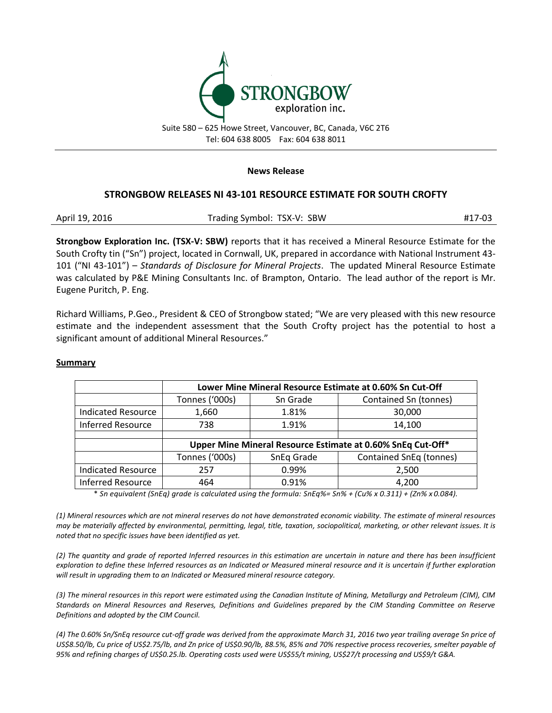

Suite 580 – 625 Howe Street, Vancouver, BC, Canada, V6C 2T6 Tel: 604 638 8005 Fax: 604 638 8011

#### **News Release**

## **STRONGBOW RELEASES NI 43-101 RESOURCE ESTIMATE FOR SOUTH CROFTY**

| April 19, 2016 | Trading Symbol: TSX-V: SBW | #17-03 |
|----------------|----------------------------|--------|
|----------------|----------------------------|--------|

**Strongbow Exploration Inc. (TSX-V: SBW)** reports that it has received a Mineral Resource Estimate for the South Crofty tin ("Sn") project, located in Cornwall, UK, prepared in accordance with National Instrument 43- 101 ("NI 43-101") – *Standards of Disclosure for Mineral Projects*. The updated Mineral Resource Estimate was calculated by P&E Mining Consultants Inc. of Brampton, Ontario. The lead author of the report is Mr. Eugene Puritch, P. Eng.

Richard Williams, P.Geo., President & CEO of Strongbow stated; "We are very pleased with this new resource estimate and the independent assessment that the South Crofty project has the potential to host a significant amount of additional Mineral Resources."

#### **Summary**

|                           | Lower Mine Mineral Resource Estimate at 0.60% Sn Cut-Off    |            |                         |  |
|---------------------------|-------------------------------------------------------------|------------|-------------------------|--|
|                           | Tonnes ('000s)                                              | Sn Grade   | Contained Sn (tonnes)   |  |
| <b>Indicated Resource</b> | 1,660                                                       | 1.81%      | 30,000                  |  |
| <b>Inferred Resource</b>  | 738                                                         | 1.91%      | 14,100                  |  |
|                           |                                                             |            |                         |  |
|                           | Upper Mine Mineral Resource Estimate at 0.60% SnEq Cut-Off* |            |                         |  |
|                           | Tonnes ('000s)                                              | SnEq Grade | Contained SnEq (tonnes) |  |
| <b>Indicated Resource</b> | 257                                                         | 0.99%      | 2,500                   |  |
| <b>Inferred Resource</b>  | 464                                                         | 0.91%      | 4,200                   |  |

\* *Sn equivalent (SnEq) grade is calculated using the formula: SnEq%= Sn% + (Cu% x 0.311) + (Zn% x 0.084).*

*(1) Mineral resources which are not mineral reserves do not have demonstrated economic viability. The estimate of mineral resources may be materially affected by environmental, permitting, legal, title, taxation, sociopolitical, marketing, or other relevant issues. It is noted that no specific issues have been identified as yet.*

*(2) The quantity and grade of reported Inferred resources in this estimation are uncertain in nature and there has been insufficient exploration to define these Inferred resources as an Indicated or Measured mineral resource and it is uncertain if further exploration will result in upgrading them to an Indicated or Measured mineral resource category.*

*(3) The mineral resources in this report were estimated using the Canadian Institute of Mining, Metallurgy and Petroleum (CIM), CIM Standards on Mineral Resources and Reserves, Definitions and Guidelines prepared by the CIM Standing Committee on Reserve Definitions and adopted by the CIM Council.*

*(4) The 0.60% Sn/SnEq resource cut-off grade was derived from the approximate March 31, 2016 two year trailing average Sn price of US\$8.50/lb, Cu price of US\$2.75/lb, and Zn price of US\$0.90/lb, 88.5%, 85% and 70% respective process recoveries, smelter payable of 95% and refining charges of US\$0.25.lb. Operating costs used were US\$55/t mining, US\$27/t processing and US\$9/t G&A.*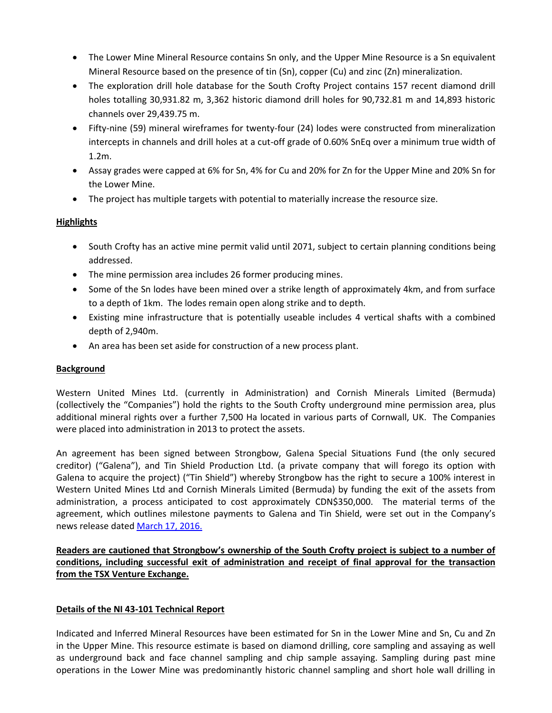- The Lower Mine Mineral Resource contains Sn only, and the Upper Mine Resource is a Sn equivalent Mineral Resource based on the presence of tin (Sn), copper (Cu) and zinc (Zn) mineralization.
- The exploration drill hole database for the South Crofty Project contains 157 recent diamond drill holes totalling 30,931.82 m, 3,362 historic diamond drill holes for 90,732.81 m and 14,893 historic channels over 29,439.75 m.
- Fifty-nine (59) mineral wireframes for twenty-four (24) lodes were constructed from mineralization intercepts in channels and drill holes at a cut-off grade of 0.60% SnEq over a minimum true width of 1.2m.
- Assay grades were capped at 6% for Sn, 4% for Cu and 20% for Zn for the Upper Mine and 20% Sn for the Lower Mine.
- The project has multiple targets with potential to materially increase the resource size.

# **Highlights**

- South Crofty has an active mine permit valid until 2071, subject to certain planning conditions being addressed.
- The mine permission area includes 26 former producing mines.
- Some of the Sn lodes have been mined over a strike length of approximately 4km, and from surface to a depth of 1km. The lodes remain open along strike and to depth.
- Existing mine infrastructure that is potentially useable includes 4 vertical shafts with a combined depth of 2,940m.
- An area has been set aside for construction of a new process plant.

# **Background**

Western United Mines Ltd. (currently in Administration) and Cornish Minerals Limited (Bermuda) (collectively the "Companies") hold the rights to the South Crofty underground mine permission area, plus additional mineral rights over a further 7,500 Ha located in various parts of Cornwall, UK. The Companies were placed into administration in 2013 to protect the assets.

An agreement has been signed between Strongbow, Galena Special Situations Fund (the only secured creditor) ("Galena"), and Tin Shield Production Ltd. (a private company that will forego its option with Galena to acquire the project) ("Tin Shield") whereby Strongbow has the right to secure a 100% interest in Western United Mines Ltd and Cornish Minerals Limited (Bermuda) by funding the exit of the assets from administration, a process anticipated to cost approximately CDN\$350,000. The material terms of the agreement, which outlines milestone payments to Galena and Tin Shield, were set out in the Company's news release date[d March 17, 2016.](http://www.strongbowexploration.com/s/NewsReleases.asp?ReportID=742916&_Type=News-Releases&_Title=Strongbow-to-Acquire-the-South-Crofty-Tin-Project-Cornwall-UK)

**Readers are cautioned that Strongbow's ownership of the South Crofty project is subject to a number of conditions, including successful exit of administration and receipt of final approval for the transaction from the TSX Venture Exchange.**

## **Details of the NI 43-101 Technical Report**

Indicated and Inferred Mineral Resources have been estimated for Sn in the Lower Mine and Sn, Cu and Zn in the Upper Mine. This resource estimate is based on diamond drilling, core sampling and assaying as well as underground back and face channel sampling and chip sample assaying. Sampling during past mine operations in the Lower Mine was predominantly historic channel sampling and short hole wall drilling in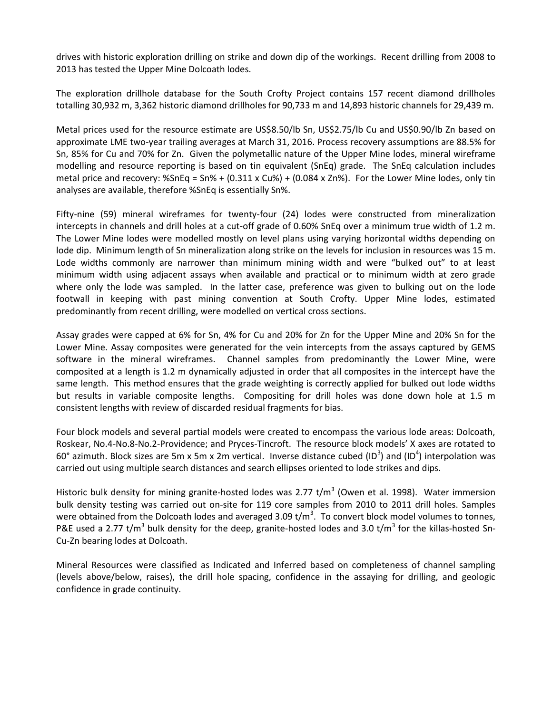drives with historic exploration drilling on strike and down dip of the workings. Recent drilling from 2008 to 2013 has tested the Upper Mine Dolcoath lodes.

The exploration drillhole database for the South Crofty Project contains 157 recent diamond drillholes totalling 30,932 m, 3,362 historic diamond drillholes for 90,733 m and 14,893 historic channels for 29,439 m.

Metal prices used for the resource estimate are US\$8.50/lb Sn, US\$2.75/lb Cu and US\$0.90/lb Zn based on approximate LME two-year trailing averages at March 31, 2016. Process recovery assumptions are 88.5% for Sn, 85% for Cu and 70% for Zn. Given the polymetallic nature of the Upper Mine lodes, mineral wireframe modelling and resource reporting is based on tin equivalent (SnEq) grade. The SnEq calculation includes metal price and recovery: %SnEq = Sn% + (0.311 x Cu%) + (0.084 x Zn%). For the Lower Mine lodes, only tin analyses are available, therefore %SnEq is essentially Sn%.

Fifty-nine (59) mineral wireframes for twenty-four (24) lodes were constructed from mineralization intercepts in channels and drill holes at a cut-off grade of 0.60% SnEq over a minimum true width of 1.2 m. The Lower Mine lodes were modelled mostly on level plans using varying horizontal widths depending on lode dip. Minimum length of Sn mineralization along strike on the levels for inclusion in resources was 15 m. Lode widths commonly are narrower than minimum mining width and were "bulked out" to at least minimum width using adjacent assays when available and practical or to minimum width at zero grade where only the lode was sampled. In the latter case, preference was given to bulking out on the lode footwall in keeping with past mining convention at South Crofty. Upper Mine lodes, estimated predominantly from recent drilling, were modelled on vertical cross sections.

Assay grades were capped at 6% for Sn, 4% for Cu and 20% for Zn for the Upper Mine and 20% Sn for the Lower Mine. Assay composites were generated for the vein intercepts from the assays captured by GEMS software in the mineral wireframes. Channel samples from predominantly the Lower Mine, were composited at a length is 1.2 m dynamically adjusted in order that all composites in the intercept have the same length. This method ensures that the grade weighting is correctly applied for bulked out lode widths but results in variable composite lengths. Compositing for drill holes was done down hole at 1.5 m consistent lengths with review of discarded residual fragments for bias.

Four block models and several partial models were created to encompass the various lode areas: Dolcoath, Roskear, No.4-No.8-No.2-Providence; and Pryces-Tincroft. The resource block models' X axes are rotated to 60° azimuth. Block sizes are 5m x 5m x 2m vertical. Inverse distance cubed (ID<sup>3</sup>) and (ID<sup>4</sup>) interpolation was carried out using multiple search distances and search ellipses oriented to lode strikes and dips.

Historic bulk density for mining granite-hosted lodes was 2.77 t/m<sup>3</sup> (Owen et al. 1998). Water immersion bulk density testing was carried out on-site for 119 core samples from 2010 to 2011 drill holes. Samples were obtained from the Dolcoath lodes and averaged 3.09 t/m<sup>3</sup>. To convert block model volumes to tonnes, P&E used a 2.77 t/m<sup>3</sup> bulk density for the deep, granite-hosted lodes and 3.0 t/m<sup>3</sup> for the killas-hosted Sn-Cu-Zn bearing lodes at Dolcoath.

Mineral Resources were classified as Indicated and Inferred based on completeness of channel sampling (levels above/below, raises), the drill hole spacing, confidence in the assaying for drilling, and geologic confidence in grade continuity.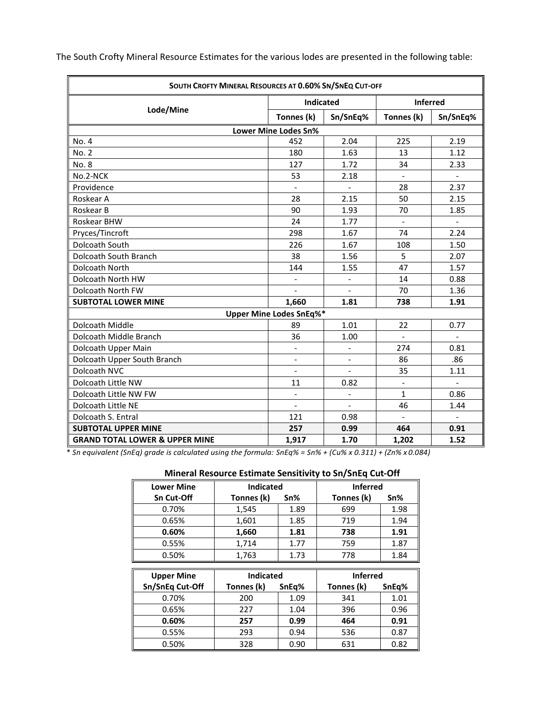| SOUTH CROFTY MINERAL RESOURCES AT 0.60% SN/SNEQ CUT-OFF |                                |                              |                          |                          |  |  |  |
|---------------------------------------------------------|--------------------------------|------------------------------|--------------------------|--------------------------|--|--|--|
|                                                         | Indicated                      |                              | <b>Inferred</b>          |                          |  |  |  |
| Lode/Mine                                               | Tonnes (k)                     | Sn/SnEq%                     | Tonnes (k)               | Sn/SnEq%                 |  |  |  |
| <b>Lower Mine Lodes Sn%</b>                             |                                |                              |                          |                          |  |  |  |
| No. 4                                                   | 452                            | 2.04                         | 225                      | 2.19                     |  |  |  |
| No. 2                                                   | 180                            | 1.63                         | 13                       | 1.12                     |  |  |  |
| No. 8                                                   | 127                            | 1.72                         | 34                       | 2.33                     |  |  |  |
| No.2-NCK                                                | 53                             | 2.18                         | $\Box$                   | $\blacksquare$           |  |  |  |
| Providence                                              | $\overline{a}$                 | $\overline{\phantom{0}}$     | 28                       | 2.37                     |  |  |  |
| Roskear A                                               | 28                             | 2.15                         | 50                       | 2.15                     |  |  |  |
| Roskear B                                               | 90                             | 1.93                         | 70                       | 1.85                     |  |  |  |
| Roskear BHW                                             | 24                             | 1.77                         | $\blacksquare$           | $\blacksquare$           |  |  |  |
| Pryces/Tincroft                                         | 298                            | 1.67                         | 74                       | 2.24                     |  |  |  |
| Dolcoath South                                          | 226                            | 1.67                         | 108                      | 1.50                     |  |  |  |
| Dolcoath South Branch                                   | 38                             | 1.56                         | 5                        | 2.07                     |  |  |  |
| <b>Dolcoath North</b>                                   | 144                            | 1.55                         | 47                       | 1.57                     |  |  |  |
| Dolcoath North HW                                       | $\overline{\phantom{a}}$       | $\qquad \qquad -$            | 14                       | 0.88                     |  |  |  |
| Dolcoath North FW                                       |                                | $\overline{\phantom{a}}$     | 70                       | 1.36                     |  |  |  |
| <b>SUBTOTAL LOWER MINE</b>                              | 1,660                          | 1.81                         | 738                      | 1.91                     |  |  |  |
|                                                         | <b>Upper Mine Lodes SnEq%*</b> |                              |                          |                          |  |  |  |
| Dolcoath Middle                                         | 89                             | 1.01                         | 22                       | 0.77                     |  |  |  |
| Dolcoath Middle Branch                                  | 36                             | 1.00                         | $\overline{\phantom{a}}$ | $\overline{\phantom{0}}$ |  |  |  |
| Dolcoath Upper Main                                     | $\overline{\phantom{a}}$       |                              | 274                      | 0.81                     |  |  |  |
| Dolcoath Upper South Branch                             | $\overline{\phantom{a}}$       | $\qquad \qquad \blacksquare$ | 86                       | .86                      |  |  |  |
| Dolcoath NVC                                            | $\blacksquare$                 | $\overline{\phantom{a}}$     | 35                       | 1.11                     |  |  |  |
| Dolcoath Little NW                                      | 11                             | 0.82                         | $\overline{\phantom{a}}$ | $\blacksquare$           |  |  |  |
| Dolcoath Little NW FW                                   | $\frac{1}{2}$                  | $\qquad \qquad -$            | $\mathbf{1}$             | 0.86                     |  |  |  |
| Dolcoath Little NE                                      | $\overline{\phantom{a}}$       | $\overline{\phantom{a}}$     | 46                       | 1.44                     |  |  |  |
| Dolcoath S. Entral                                      | 121                            | 0.98                         | $\overline{a}$           | $\blacksquare$           |  |  |  |
| <b>SUBTOTAL UPPER MINE</b>                              | 257                            | 0.99                         | 464                      | 0.91                     |  |  |  |
| <b>GRAND TOTAL LOWER &amp; UPPER MINE</b>               | 1,917                          | 1.70                         | 1,202                    | 1.52                     |  |  |  |

The South Crofty Mineral Resource Estimates for the various lodes are presented in the following table:

\* *Sn equivalent (SnEq) grade is calculated using the formula: SnEq% = Sn% + (Cu% x 0.311) + (Zn% x 0.084)*

#### **Mineral Resource Estimate Sensitivity to Sn/SnEq Cut-Off**

| <b>Lower Mine</b> | <b>Indicated</b> |      | <b>Inferred</b> |      |
|-------------------|------------------|------|-----------------|------|
| Sn Cut-Off        | Tonnes (k)       | Sn%  | Tonnes (k)      | Sn%  |
| 0.70%             | 1,545            | 1.89 | 699             | 1.98 |
| 0.65%             | 1,601            | 1.85 | 719             | 1.94 |
| 0.60%             | 1,660            | 1.81 | 738             | 1.91 |
| 0.55%             | 1,714            | 1.77 | 759             | 1.87 |
| 0.50%             | 1,763            | 1.73 | 778             | 1.84 |

| <b>Upper Mine</b> | <b>Indicated</b> |       | <b>Inferred</b> |       |
|-------------------|------------------|-------|-----------------|-------|
| Sn/SnEq Cut-Off   | Tonnes (k)       | SnEq% | Tonnes (k)      | SnEq% |
| 0.70%             | 200              | 1.09  | 341             | 1.01  |
| 0.65%             | 227              | 1.04  | 396             | 0.96  |
| 0.60%             | 257              | 0.99  | 464             | 0.91  |
| 0.55%             | 293              | 0.94  | 536             | 0.87  |
| 0.50%             | 328              | 0.90  | 631             | 0.82  |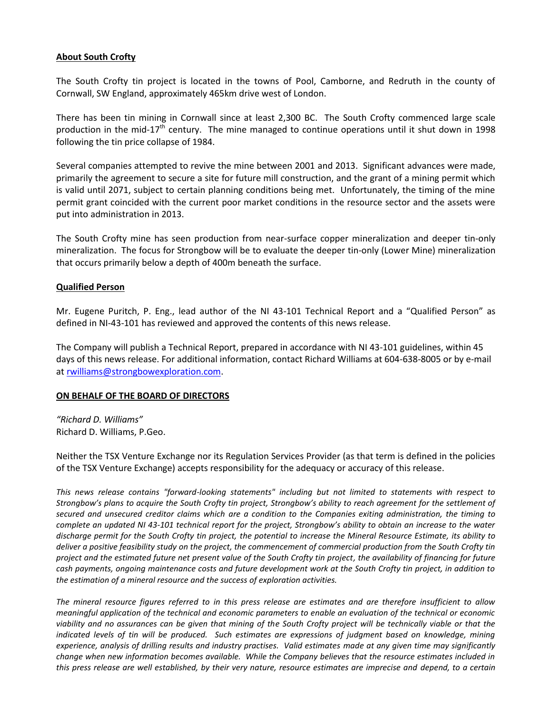## **About South Crofty**

The South Crofty tin project is located in the towns of Pool, Camborne, and Redruth in the county of Cornwall, SW England, approximately 465km drive west of London.

There has been tin mining in Cornwall since at least 2,300 BC. The South Crofty commenced large scale production in the mid-17<sup>th</sup> century. The mine managed to continue operations until it shut down in 1998 following the tin price collapse of 1984.

Several companies attempted to revive the mine between 2001 and 2013. Significant advances were made, primarily the agreement to secure a site for future mill construction, and the grant of a mining permit which is valid until 2071, subject to certain planning conditions being met. Unfortunately, the timing of the mine permit grant coincided with the current poor market conditions in the resource sector and the assets were put into administration in 2013.

The South Crofty mine has seen production from near-surface copper mineralization and deeper tin-only mineralization. The focus for Strongbow will be to evaluate the deeper tin-only (Lower Mine) mineralization that occurs primarily below a depth of 400m beneath the surface.

## **Qualified Person**

Mr. Eugene Puritch, P. Eng., lead author of the NI 43-101 Technical Report and a "Qualified Person" as defined in NI-43-101 has reviewed and approved the contents of this news release.

The Company will publish a Technical Report, prepared in accordance with NI 43-101 guidelines, within 45 days of this news release. For additional information, contact Richard Williams at 604-638-8005 or by e-mail at [rwilliams@strongbowexploration.com.](mailto:rwilliams@strongbowexploration.com)

## **ON BEHALF OF THE BOARD OF DIRECTORS**

*"Richard D. Williams"* Richard D. Williams, P.Geo.

Neither the TSX Venture Exchange nor its Regulation Services Provider (as that term is defined in the policies of the TSX Venture Exchange) accepts responsibility for the adequacy or accuracy of this release.

*This news release contains "forward-looking statements" including but not limited to statements with respect to Strongbow's plans to acquire the South Crofty tin project, Strongbow's ability to reach agreement for the settlement of secured and unsecured creditor claims which are a condition to the Companies exiting administration, the timing to complete an updated NI 43-101 technical report for the project, Strongbow's ability to obtain an increase to the water discharge permit for the South Crofty tin project, the potential to increase the Mineral Resource Estimate, its ability to deliver a positive feasibility study on the project, the commencement of commercial production from the South Crofty tin project and the estimated future net present value of the South Crofty tin project, the availability of financing for future cash payments, ongoing maintenance costs and future development work at the South Crofty tin project, in addition to the estimation of a mineral resource and the success of exploration activities.* 

*The mineral resource figures referred to in this press release are estimates and are therefore insufficient to allow meaningful application of the technical and economic parameters to enable an evaluation of the technical or economic viability and no assurances can be given that mining of the South Crofty project will be technically viable or that the indicated levels of tin will be produced. Such estimates are expressions of judgment based on knowledge, mining experience, analysis of drilling results and industry practises. Valid estimates made at any given time may significantly change when new information becomes available. While the Company believes that the resource estimates included in this press release are well established, by their very nature, resource estimates are imprecise and depend, to a certain*